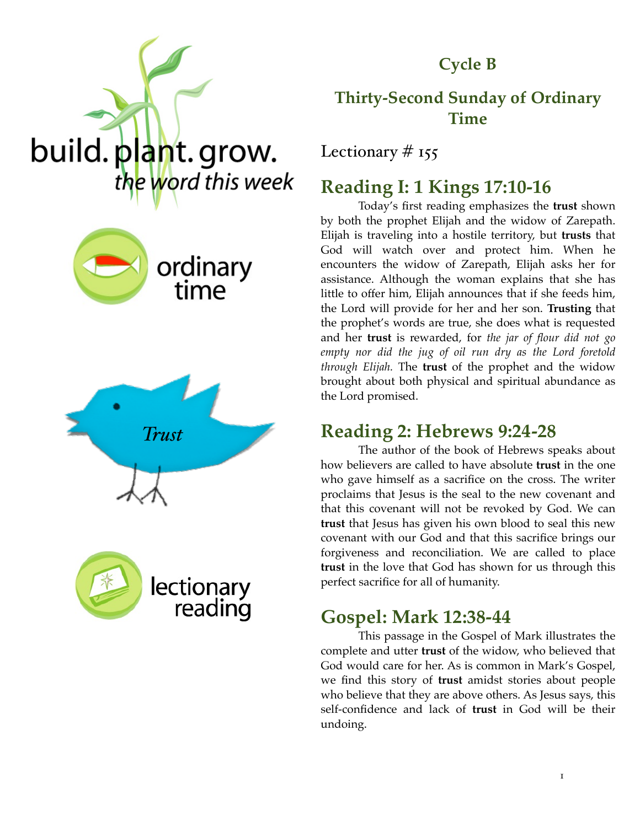

**Cycle B**

### **Thirty-Second Sunday of Ordinary Time**

Lectionary  $#$  155

### **Reading I: 1 Kings 17:10-16**

Today's first reading emphasizes the **trust** shown by both the prophet Elijah and the widow of Zarepath. Elijah is traveling into a hostile territory, but **trusts** that God will watch over and protect him. When he encounters the widow of Zarepath, Elijah asks her for assistance. Although the woman explains that she has little to offer him, Elijah announces that if she feeds him, the Lord will provide for her and her son. **Trusting** that the prophet's words are true, she does what is requested and her **trust** is rewarded, for *the jar of flour did not go empty nor did the jug of oil run dry as the Lord foretold through Elijah.* The **trust** of the prophet and the widow brought about both physical and spiritual abundance as the Lord promised.

### **Reading 2: Hebrews 9:24-28**

The author of the book of Hebrews speaks about how believers are called to have absolute **trust** in the one who gave himself as a sacrifice on the cross. The writer proclaims that Jesus is the seal to the new covenant and that this covenant will not be revoked by God. We can **trust** that Jesus has given his own blood to seal this new covenant with our God and that this sacrifice brings our forgiveness and reconciliation. We are called to place **trust** in the love that God has shown for us through this perfect sacrifice for all of humanity.

### **Gospel: Mark 12:38-44**

This passage in the Gospel of Mark illustrates the complete and utter **trust** of the widow, who believed that God would care for her. As is common in Mark's Gospel, we find this story of **trust** amidst stories about people who believe that they are above others. As Jesus says, this self-confidence and lack of **trust** in God will be their undoing.





build. plant. grow.

the word this week

*Trust*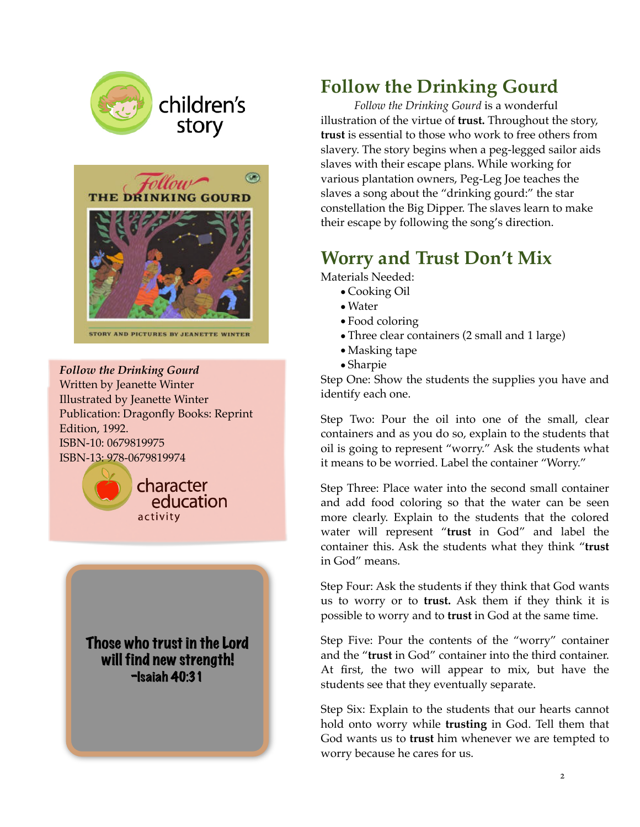

# children's story



*Follow the Drinking Gourd* Written by Jeanette Winter Illustrated by Jeanette Winter Publication: Dragonfly Books: Reprint Edition, 1992. ISBN-10: 0679819975 ISBN-13: 978-0679819974



Those who trust in the Lord will find new strength! -Isaiah 40:31

# **Follow the Drinking Gourd**

*Follow the Drinking Gourd* is a wonderful illustration of the virtue of **trust.** Throughout the story, **trust** is essential to those who work to free others from slavery. The story begins when a peg-legged sailor aids slaves with their escape plans. While working for various plantation owners, Peg-Leg Joe teaches the slaves a song about the "drinking gourd:" the star constellation the Big Dipper. The slaves learn to make their escape by following the song's direction.

# **Worry and Trust Don't Mix**

Materials Needed:

- •Cooking Oil
- •Water
- •Food coloring
- •Three clear containers (2 small and 1 large)
- •Masking tape
- •Sharpie

Step One: Show the students the supplies you have and identify each one.

Step Two: Pour the oil into one of the small, clear containers and as you do so, explain to the students that oil is going to represent "worry." Ask the students what it means to be worried. Label the container "Worry."

Step Three: Place water into the second small container and add food coloring so that the water can be seen more clearly. Explain to the students that the colored water will represent "**trust** in God" and label the container this. Ask the students what they think "**trust** in God" means.

Step Four: Ask the students if they think that God wants us to worry or to **trust.** Ask them if they think it is possible to worry and to **trust** in God at the same time.

Step Five: Pour the contents of the "worry" container and the "**trust** in God" container into the third container. At first, the two will appear to mix, but have the students see that they eventually separate.

Step Six: Explain to the students that our hearts cannot hold onto worry while **trusting** in God. Tell them that God wants us to **trust** him whenever we are tempted to worry because he cares for us.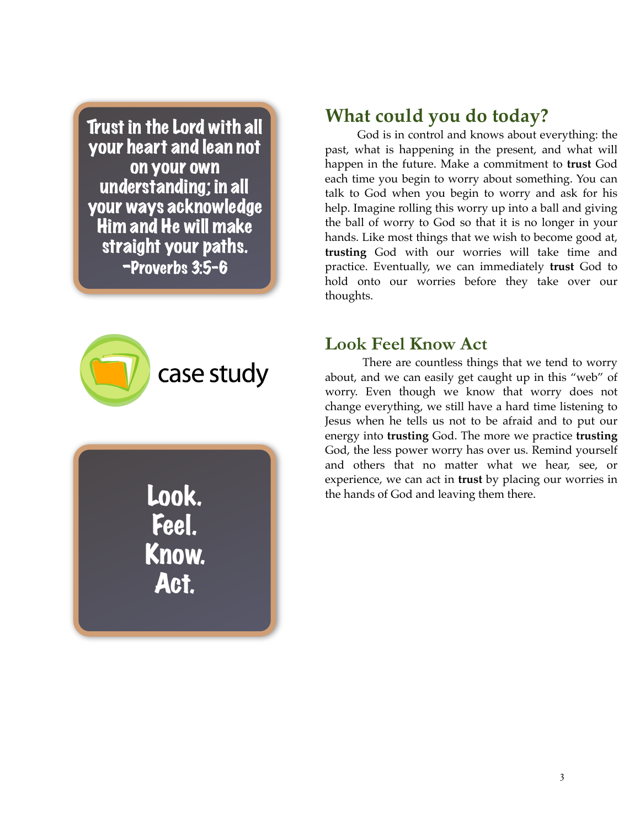Trust in the Lord with all your heart and lean not on your own understanding; in all your ways acknowledge Him and He will make straight your paths. -Proverbs 3:5-6



Look. Feel. Know. Act.

### **What could you do today?**

God is in control and knows about everything: the past, what is happening in the present, and what will happen in the future. Make a commitment to **trust** God each time you begin to worry about something. You can talk to God when you begin to worry and ask for his help. Imagine rolling this worry up into a ball and giving the ball of worry to God so that it is no longer in your hands. Like most things that we wish to become good at, **trusting** God with our worries will take time and practice. Eventually, we can immediately **trust** God to hold onto our worries before they take over our thoughts.

#### **Look Feel Know Act**

There are countless things that we tend to worry about, and we can easily get caught up in this "web" of worry. Even though we know that worry does not change everything, we still have a hard time listening to Jesus when he tells us not to be afraid and to put our energy into **trusting** God. The more we practice **trusting**  God, the less power worry has over us. Remind yourself and others that no matter what we hear, see, or experience, we can act in **trust** by placing our worries in the hands of God and leaving them there.